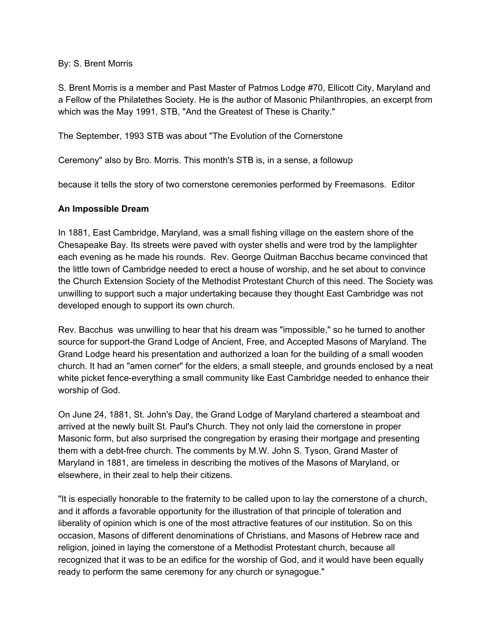#### By: S. Brent Morris

S. Brent Morris is a member and Past Master of Patmos Lodge #70, Ellicott City, Maryland and a Fellow of the Philatethes Society. He is the author of Masonic Philanthropies, an excerpt from which was the May 1991, STB, "And the Greatest of These is Charity."

The September, 1993 STB was about "The Evolution of the Cornerstone

Ceremony" also by Bro. Morris. This month's STB is, in a sense, a followup

because it tells the story of two cornerstone ceremonies performed by Freemasons. Editor

## **An Impossible Dream**

In 1881, East Cambridge, Maryland, was a small fishing village on the eastern shore of the Chesapeake Bay. Its streets were paved with oyster shells and were trod by the lamplighter each evening as he made his rounds. Rev. George Quitman Bacchus became convinced that the little town of Cambridge needed to erect a house of worship, and he set about to convince the Church Extension Society of the Methodist Protestant Church of this need. The Society was unwilling to support such a major undertaking because they thought East Cambridge was not developed enough to support its own church.

Rev. Bacchus was unwilling to hear that his dream was "impossible," so he turned to another source for support-the Grand Lodge of Ancient, Free, and Accepted Masons of Maryland. The Grand Lodge heard his presentation and authorized a loan for the building of a small wooden church. It had an "amen corner" for the elders, a small steeple, and grounds enclosed by a neat white picket fence-everything a small community like East Cambridge needed to enhance their worship of God.

On June 24, 1881, St. John's Day, the Grand Lodge of Maryland chartered a steamboat and arrived at the newly built St. Paul's Church. They not only laid the cornerstone in proper Masonic form, but also surprised the congregation by erasing their mortgage and presenting them with a debt-free church. The comments by M.W. John S. Tyson, Grand Master of Maryland in 1881, are timeless in describing the motives of the Masons of Maryland, or elsewhere, in their zeal to help their citizens.

"It is especially honorable to the fraternity to be called upon to lay the cornerstone of a church, and it affords a favorable opportunity for the illustration of that principle of toleration and liberality of opinion which is one of the most attractive features of our institution. So on this occasion, Masons of different denominations of Christians, and Masons of Hebrew race and religion, joined in laying the cornerstone of a Methodist Protestant church, because all recognized that it was to be an edifice for the worship of God, and it would have been equally ready to perform the same ceremony for any church or synagogue."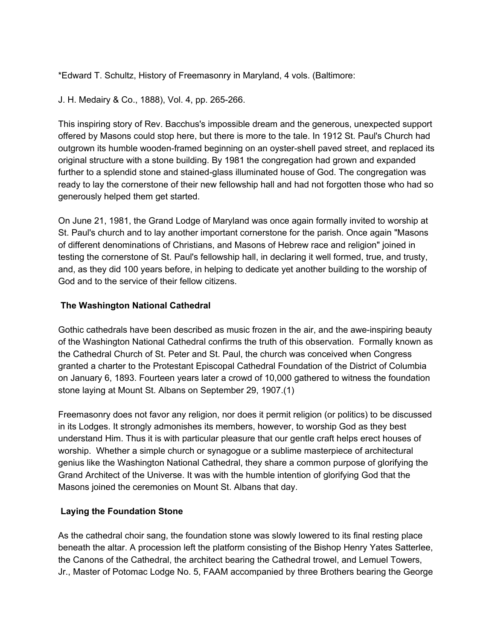\*Edward T. Schultz, History of Freemasonry in Maryland, 4 vols. (Baltimore:

J. H. Medairy & Co., 1888), Vol. 4, pp. 265-266.

This inspiring story of Rev. Bacchus's impossible dream and the generous, unexpected support offered by Masons could stop here, but there is more to the tale. In 1912 St. Paul's Church had outgrown its humble wooden-framed beginning on an oyster-shell paved street, and replaced its original structure with a stone building. By 1981 the congregation had grown and expanded further to a splendid stone and stained-glass illuminated house of God. The congregation was ready to lay the cornerstone of their new fellowship hall and had not forgotten those who had so generously helped them get started.

On June 21, 1981, the Grand Lodge of Maryland was once again formally invited to worship at St. Paul's church and to lay another important cornerstone for the parish. Once again "Masons of different denominations of Christians, and Masons of Hebrew race and religion" joined in testing the cornerstone of St. Paul's fellowship hall, in declaring it well formed, true, and trusty, and, as they did 100 years before, in helping to dedicate yet another building to the worship of God and to the service of their fellow citizens.

## **The Washington National Cathedral**

Gothic cathedrals have been described as music frozen in the air, and the awe-inspiring beauty of the Washington National Cathedral confirms the truth of this observation. Formally known as the Cathedral Church of St. Peter and St. Paul, the church was conceived when Congress granted a charter to the Protestant Episcopal Cathedral Foundation of the District of Columbia on January 6, 1893. Fourteen years later a crowd of 10,000 gathered to witness the foundation stone laying at Mount St. Albans on September 29, 1907.(1)

Freemasonry does not favor any religion, nor does it permit religion (or politics) to be discussed in its Lodges. It strongly admonishes its members, however, to worship God as they best understand Him. Thus it is with particular pleasure that our gentle craft helps erect houses of worship. Whether a simple church or synagogue or a sublime masterpiece of architectural genius like the Washington National Cathedral, they share a common purpose of glorifying the Grand Architect of the Universe. It was with the humble intention of glorifying God that the Masons joined the ceremonies on Mount St. Albans that day.

#### **Laying the Foundation Stone**

As the cathedral choir sang, the foundation stone was slowly lowered to its final resting place beneath the altar. A procession left the platform consisting of the Bishop Henry Yates Satterlee, the Canons of the Cathedral, the architect bearing the Cathedral trowel, and Lemuel Towers, Jr., Master of Potomac Lodge No. 5, FAAM accompanied by three Brothers bearing the George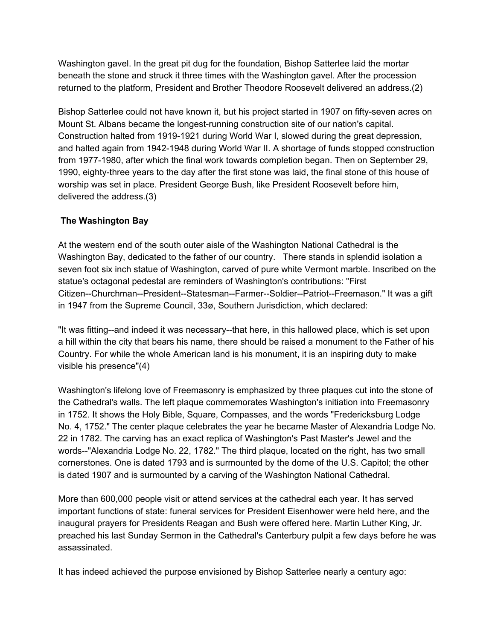Washington gavel. In the great pit dug for the foundation, Bishop Satterlee laid the mortar beneath the stone and struck it three times with the Washington gavel. After the procession returned to the platform, President and Brother Theodore Roosevelt delivered an address.(2)

Bishop Satterlee could not have known it, but his project started in 1907 on fifty-seven acres on Mount St. Albans became the longest-running construction site of our nation's capital. Construction halted from 1919-1921 during World War I, slowed during the great depression, and halted again from 1942-1948 during World War II. A shortage of funds stopped construction from 1977-1980, after which the final work towards completion began. Then on September 29, 1990, eighty-three years to the day after the first stone was laid, the final stone of this house of worship was set in place. President George Bush, like President Roosevelt before him, delivered the address.(3)

# **The Washington Bay**

At the western end of the south outer aisle of the Washington National Cathedral is the Washington Bay, dedicated to the father of our country. There stands in splendid isolation a seven foot six inch statue of Washington, carved of pure white Vermont marble. Inscribed on the statue's octagonal pedestal are reminders of Washington's contributions: "First Citizen--Churchman--President--Statesman--Farmer--Soldier--Patriot--Freemason." It was a gift in 1947 from the Supreme Council, 33ø, Southern Jurisdiction, which declared:

"It was fitting--and indeed it was necessary--that here, in this hallowed place, which is set upon a hill within the city that bears his name, there should be raised a monument to the Father of his Country. For while the whole American land is his monument, it is an inspiring duty to make visible his presence"(4)

Washington's lifelong love of Freemasonry is emphasized by three plaques cut into the stone of the Cathedral's walls. The left plaque commemorates Washington's initiation into Freemasonry in 1752. It shows the Holy Bible, Square, Compasses, and the words "Fredericksburg Lodge No. 4, 1752." The center plaque celebrates the year he became Master of Alexandria Lodge No. 22 in 1782. The carving has an exact replica of Washington's Past Master's Jewel and the words--"Alexandria Lodge No. 22, 1782." The third plaque, located on the right, has two small cornerstones. One is dated 1793 and is surmounted by the dome of the U.S. Capitol; the other is dated 1907 and is surmounted by a carving of the Washington National Cathedral.

More than 600,000 people visit or attend services at the cathedral each year. It has served important functions of state: funeral services for President Eisenhower were held here, and the inaugural prayers for Presidents Reagan and Bush were offered here. Martin Luther King, Jr. preached his last Sunday Sermon in the Cathedral's Canterbury pulpit a few days before he was assassinated.

It has indeed achieved the purpose envisioned by Bishop Satterlee nearly a century ago: